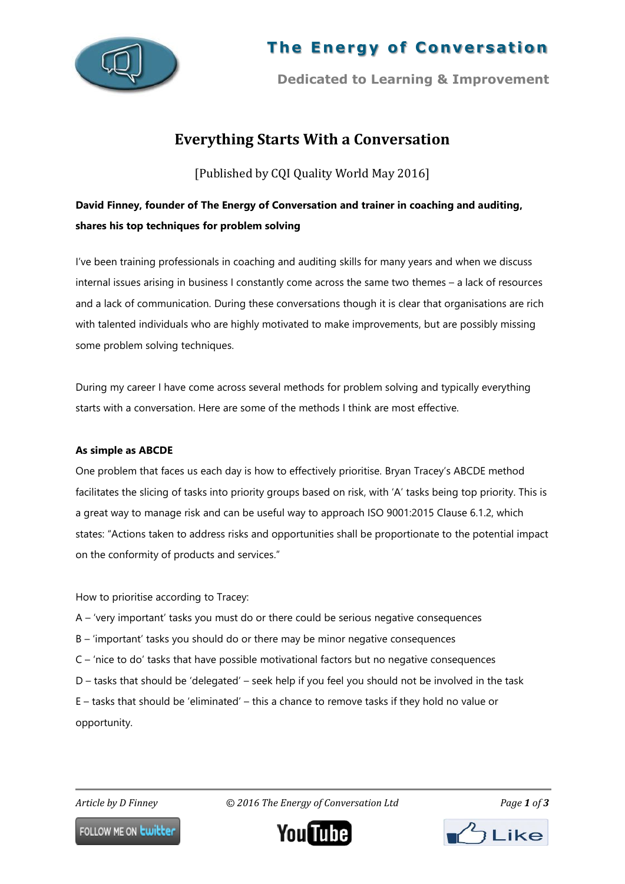

# **The Energy of Conversation**

**Dedicated to Learning & Improvement**

# **Everything Starts With a Conversation**

[Published by CQI Quality World May 2016]

# **David Finney, founder of The Energy of Conversation and trainer in coaching and auditing, shares his top techniques for problem solving**

I've been training professionals in coaching and auditing skills for many years and when we discuss internal issues arising in business I constantly come across the same two themes – a lack of resources and a lack of communication. During these conversations though it is clear that organisations are rich with talented individuals who are highly motivated to make improvements, but are possibly missing some problem solving techniques.

During my career I have come across several methods for problem solving and typically everything starts with a conversation. Here are some of the methods I think are most effective.

## **As simple as ABCDE**

One problem that faces us each day is how to effectively prioritise. Bryan Tracey's ABCDE method facilitates the slicing of tasks into priority groups based on risk, with 'A' tasks being top priority. This is a great way to manage risk and can be useful way to approach ISO 9001:2015 Clause 6.1.2, which states: "Actions taken to address risks and opportunities shall be proportionate to the potential impact on the conformity of products and services."

How to prioritise according to Tracey:

- A 'very important' tasks you must do or there could be serious negative consequences
- B 'important' tasks you should do or there may be minor negative consequences
- C 'nice to do' tasks that have possible motivational factors but no negative consequences
- D tasks that should be 'delegated' seek help if you feel you should not be involved in the task

E – tasks that should be 'eliminated' – this a chance to remove tasks if they hold no value or opportunity.

٦

*Article by D Finney © 2016 The Energy of Conversation Ltd Page 1 of 3*

FOLLOW ME ON **Lwitter** 



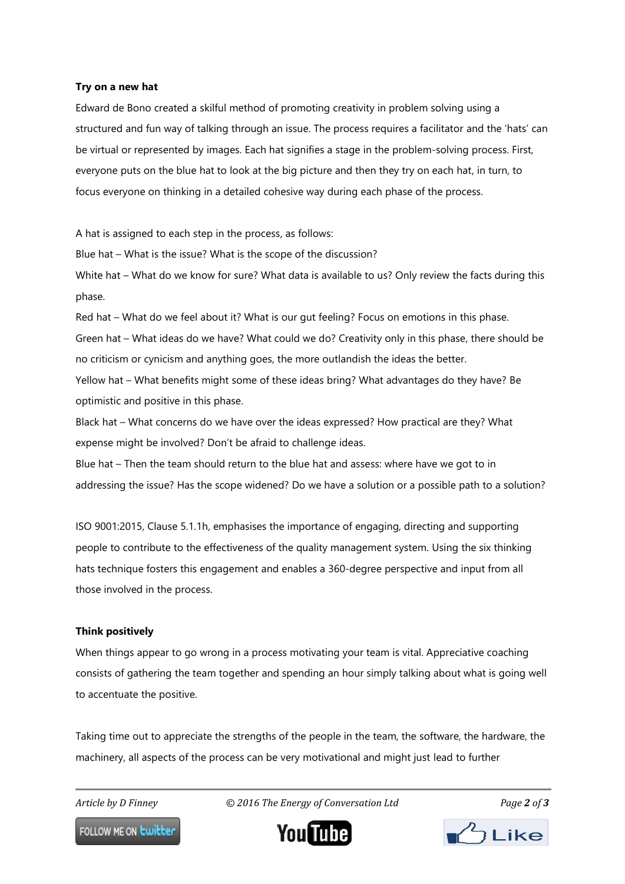#### **Try on a new hat**

Edward de Bono created a skilful method of promoting creativity in problem solving using a structured and fun way of talking through an issue. The process requires a facilitator and the 'hats' can be virtual or represented by images. Each hat signifies a stage in the problem-solving process. First, everyone puts on the blue hat to look at the big picture and then they try on each hat, in turn, to focus everyone on thinking in a detailed cohesive way during each phase of the process.

A hat is assigned to each step in the process, as follows:

Blue hat – What is the issue? What is the scope of the discussion?

White hat – What do we know for sure? What data is available to us? Only review the facts during this phase.

Red hat – What do we feel about it? What is our gut feeling? Focus on emotions in this phase.

Green hat – What ideas do we have? What could we do? Creativity only in this phase, there should be no criticism or cynicism and anything goes, the more outlandish the ideas the better.

Yellow hat – What benefits might some of these ideas bring? What advantages do they have? Be optimistic and positive in this phase.

Black hat – What concerns do we have over the ideas expressed? How practical are they? What expense might be involved? Don't be afraid to challenge ideas.

Blue hat – Then the team should return to the blue hat and assess: where have we got to in addressing the issue? Has the scope widened? Do we have a solution or a possible path to a solution?

ISO 9001:2015, Clause 5.1.1h, emphasises the importance of engaging, directing and supporting people to contribute to the effectiveness of the quality management system. Using the six thinking hats technique fosters this engagement and enables a 360-degree perspective and input from all those involved in the process.

### **Think positively**

When things appear to go wrong in a process motivating your team is vital. Appreciative coaching consists of gathering the team together and spending an hour simply talking about what is going well to accentuate the positive.

Taking time out to appreciate the strengths of the people in the team, the software, the hardware, the machinery, all aspects of the process can be very motivational and might just lead to further

٦

*Article by D Finney © 2016 The Energy of Conversation Ltd Page 2 of 3*

FOLLOW ME ON **Lwitter**